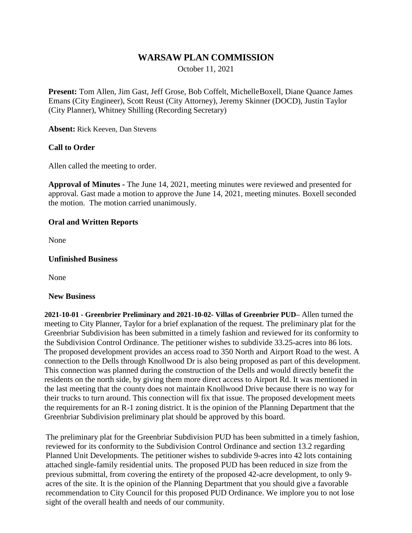# **WARSAW PLAN COMMISSION**

October 11, 2021

**Present:** Tom Allen, Jim Gast, Jeff Grose, Bob Coffelt, MichelleBoxell, Diane Quance James Emans (City Engineer), Scott Reust (City Attorney), Jeremy Skinner (DOCD), Justin Taylor (City Planner), Whitney Shilling (Recording Secretary)

**Absent:** Rick Keeven, Dan Stevens

## **Call to Order**

Allen called the meeting to order.

**Approval of Minutes -** The June 14, 2021, meeting minutes were reviewed and presented for approval. Gast made a motion to approve the June 14, 2021, meeting minutes. Boxell seconded the motion. The motion carried unanimously.

## **Oral and Written Reports**

None

### **Unfinished Business**

None

#### **New Business**

**2021-10-01 - Greenbrier Preliminary and 2021-10-02- Villas of Greenbrier PUD–** Allen turned the meeting to City Planner, Taylor for a brief explanation of the request. The preliminary plat for the Greenbriar Subdivision has been submitted in a timely fashion and reviewed for its conformity to the Subdivision Control Ordinance. The petitioner wishes to subdivide 33.25-acres into 86 lots. The proposed development provides an access road to 350 North and Airport Road to the west. A connection to the Dells through Knollwood Dr is also being proposed as part of this development. This connection was planned during the construction of the Dells and would directly benefit the residents on the north side, by giving them more direct access to Airport Rd. It was mentioned in the last meeting that the county does not maintain Knollwood Drive because there is no way for their trucks to turn around. This connection will fix that issue. The proposed development meets the requirements for an R-1 zoning district. It is the opinion of the Planning Department that the Greenbriar Subdivision preliminary plat should be approved by this board.

The preliminary plat for the Greenbriar Subdivision PUD has been submitted in a timely fashion, reviewed for its conformity to the Subdivision Control Ordinance and section 13.2 regarding Planned Unit Developments. The petitioner wishes to subdivide 9-acres into 42 lots containing attached single-family residential units. The proposed PUD has been reduced in size from the previous submittal, from covering the entirety of the proposed 42-acre development, to only 9 acres of the site. It is the opinion of the Planning Department that you should give a favorable recommendation to City Council for this proposed PUD Ordinance. We implore you to not lose sight of the overall health and needs of our community.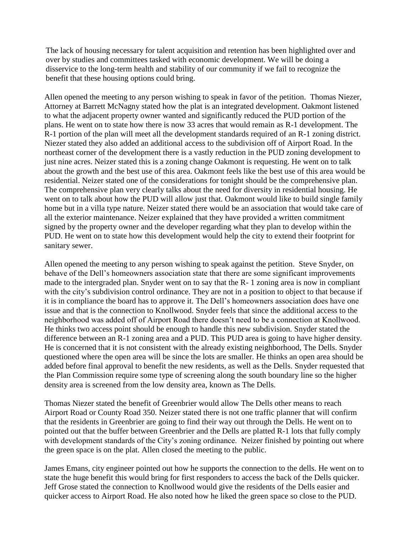The lack of housing necessary for talent acquisition and retention has been highlighted over and over by studies and committees tasked with economic development. We will be doing a disservice to the long-term health and stability of our community if we fail to recognize the benefit that these housing options could bring.

Allen opened the meeting to any person wishing to speak in favor of the petition. Thomas Niezer, Attorney at Barrett McNagny stated how the plat is an integrated development. Oakmont listened to what the adjacent property owner wanted and significantly reduced the PUD portion of the plans. He went on to state how there is now 33 acres that would remain as R-1 development. The R-1 portion of the plan will meet all the development standards required of an R-1 zoning district. Niezer stated they also added an additional access to the subdivision off of Airport Road. In the northeast corner of the development there is a vastly reduction in the PUD zoning development to just nine acres. Neizer stated this is a zoning change Oakmont is requesting. He went on to talk about the growth and the best use of this area. Oakmont feels like the best use of this area would be residential. Neizer stated one of the considerations for tonight should be the comprehensive plan. The comprehensive plan very clearly talks about the need for diversity in residential housing. He went on to talk about how the PUD will allow just that. Oakmont would like to build single family home but in a villa type nature. Neizer stated there would be an association that would take care of all the exterior maintenance. Neizer explained that they have provided a written commitment signed by the property owner and the developer regarding what they plan to develop within the PUD. He went on to state how this development would help the city to extend their footprint for sanitary sewer.

Allen opened the meeting to any person wishing to speak against the petition. Steve Snyder, on behave of the Dell's homeowners association state that there are some significant improvements made to the intergraded plan. Snyder went on to say that the R- 1 zoning area is now in compliant with the city's subdivision control ordinance. They are not in a position to object to that because if it is in compliance the board has to approve it. The Dell's homeowners association does have one issue and that is the connection to Knollwood. Snyder feels that since the additional access to the neighborhood was added off of Airport Road there doesn't need to be a connection at Knollwood. He thinks two access point should be enough to handle this new subdivision. Snyder stated the difference between an R-1 zoning area and a PUD. This PUD area is going to have higher density. He is concerned that it is not consistent with the already existing neighborhood, The Dells. Snyder questioned where the open area will be since the lots are smaller. He thinks an open area should be added before final approval to benefit the new residents, as well as the Dells. Snyder requested that the Plan Commission require some type of screening along the south boundary line so the higher density area is screened from the low density area, known as The Dells.

Thomas Niezer stated the benefit of Greenbrier would allow The Dells other means to reach Airport Road or County Road 350. Neizer stated there is not one traffic planner that will confirm that the residents in Greenbrier are going to find their way out through the Dells. He went on to pointed out that the buffer between Greenbrier and the Dells are platted R-1 lots that fully comply with development standards of the City's zoning ordinance. Neizer finished by pointing out where the green space is on the plat. Allen closed the meeting to the public.

James Emans, city engineer pointed out how he supports the connection to the dells. He went on to state the huge benefit this would bring for first responders to access the back of the Dells quicker. Jeff Grose stated the connection to Knollwood would give the residents of the Dells easier and quicker access to Airport Road. He also noted how he liked the green space so close to the PUD.